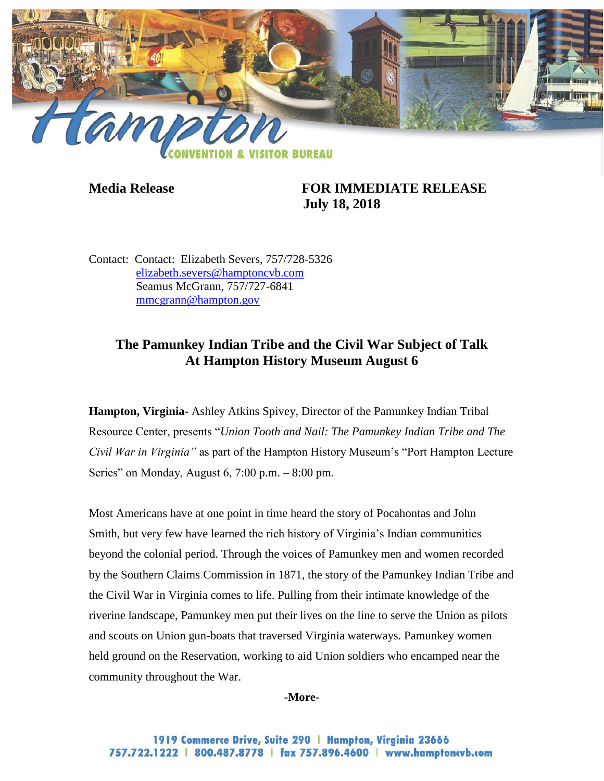

# **Media Release FOR IMMEDIATE RELEASE July 18, 2018**

Contact: Contact: Elizabeth Severs, 757/728-5326 [elizabeth.severs@hamptoncvb.com](mailto:elizabeth.severs@hamptoncvb.com) Seamus McGrann, 757/727-6841 [mmcgrann@hampton.gov](mailto:mmcgrann@hampton.gov)

# **The Pamunkey Indian Tribe and the Civil War Subject of Talk At Hampton History Museum August 6**

**Hampton, Virginia-** Ashley Atkins Spivey, Director of the Pamunkey Indian Tribal Resource Center, presents "*Union Tooth and Nail: The Pamunkey Indian Tribe and The Civil War in Virginia"* as part of the Hampton History Museum's "Port Hampton Lecture Series" on Monday, August 6, 7:00 p.m. – 8:00 pm.

Most Americans have at one point in time heard the story of Pocahontas and John Smith, but very few have learned the rich history of Virginia's Indian communities beyond the colonial period. Through the voices of Pamunkey men and women recorded by the Southern Claims Commission in 1871, the story of the Pamunkey Indian Tribe and the Civil War in Virginia comes to life. Pulling from their intimate knowledge of the riverine landscape, Pamunkey men put their lives on the line to serve the Union as pilots and scouts on Union gun-boats that traversed Virginia waterways. Pamunkey women held ground on the Reservation, working to aid Union soldiers who encamped near the community throughout the War.

#### **-More-**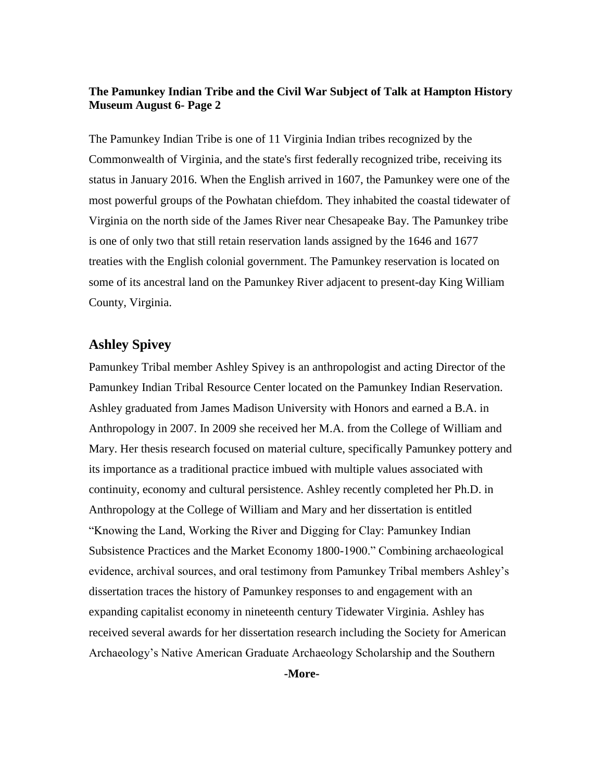#### **The Pamunkey Indian Tribe and the Civil War Subject of Talk at Hampton History Museum August 6- Page 2**

The Pamunkey Indian Tribe is one of 11 Virginia Indian tribes recognized by the Commonwealth of Virginia, and the state's first federally recognized tribe, receiving its status in January 2016. When the English arrived in 1607, the Pamunkey were one of the most powerful groups of the Powhatan chiefdom. They inhabited the coastal tidewater of Virginia on the north side of the James River near Chesapeake Bay. The Pamunkey tribe is one of only two that still retain reservation lands assigned by the 1646 and 1677 treaties with the English colonial government. The Pamunkey reservation is located on some of its ancestral land on the Pamunkey River adjacent to present-day King William County, Virginia.

### **Ashley Spivey**

Pamunkey Tribal member Ashley Spivey is an anthropologist and acting Director of the Pamunkey Indian Tribal Resource Center located on the Pamunkey Indian Reservation. Ashley graduated from James Madison University with Honors and earned a B.A. in Anthropology in 2007. In 2009 she received her M.A. from the College of William and Mary. Her thesis research focused on material culture, specifically Pamunkey pottery and its importance as a traditional practice imbued with multiple values associated with continuity, economy and cultural persistence. Ashley recently completed her Ph.D. in Anthropology at the College of William and Mary and her dissertation is entitled "Knowing the Land, Working the River and Digging for Clay: Pamunkey Indian Subsistence Practices and the Market Economy 1800-1900." Combining archaeological evidence, archival sources, and oral testimony from Pamunkey Tribal members Ashley's dissertation traces the history of Pamunkey responses to and engagement with an expanding capitalist economy in nineteenth century Tidewater Virginia. Ashley has received several awards for her dissertation research including the Society for American Archaeology's Native American Graduate Archaeology Scholarship and the Southern

**-More-**